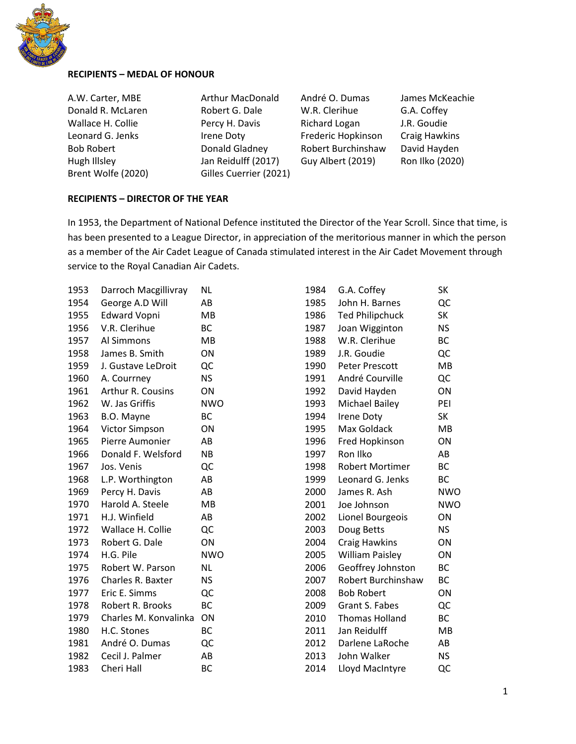

## **RECIPIENTS – MEDAL OF HONOUR**

Brent Wolfe (2020) Gilles Cuerrier (2021)

Donald R. McLaren **Robert G. Dale** W.R. Clerihue G.A. Coffey Wallace H. Collie **Percy H. Davis** Richard Logan J.R. Goudie Leonard G. Jenks **Irene Doty** Frederic Hopkinson Craig Hawkins Bob Robert Donald Gladney Robert Burchinshaw David Hayden Hugh Illsley Jan Reidulff (2017) Guy Albert (2019) Ron Ilko (2020)

A.W. Carter, MBE Arthur MacDonald André O. Dumas James McKeachie

### **RECIPIENTS – DIRECTOR OF THE YEAR**

In 1953, the Department of National Defence instituted the Director of the Year Scroll. Since that time, is has been presented to a League Director, in appreciation of the meritorious manner in which the person as a member of the Air Cadet League of Canada stimulated interest in the Air Cadet Movement through service to the Royal Canadian Air Cadets.

| 1953 | Darroch Macgillivray     | <b>NL</b>  |
|------|--------------------------|------------|
| 1954 | George A.D Will          | AB         |
| 1955 | <b>Edward Vopni</b>      | MB         |
| 1956 | V.R. Clerihue            | <b>BC</b>  |
| 1957 | Al Simmons               | <b>MB</b>  |
| 1958 | James B. Smith           | ON         |
| 1959 | J. Gustave LeDroit       | QC         |
| 1960 | A. Courrney              | <b>NS</b>  |
| 1961 | <b>Arthur R. Cousins</b> | ON         |
| 1962 | W. Jas Griffis           | <b>NWO</b> |
| 1963 | B.O. Mayne               | BC         |
| 1964 | <b>Victor Simpson</b>    | ON         |
| 1965 | Pierre Aumonier          | AB         |
| 1966 | Donald F. Welsford       | <b>NB</b>  |
| 1967 | Jos. Venis               | QC         |
| 1968 | L.P. Worthington         | AB         |
| 1969 | Percy H. Davis           | AB         |
| 1970 | Harold A. Steele         | <b>MB</b>  |
| 1971 | H.J. Winfield            | AB         |
| 1972 | Wallace H. Collie        | QC         |
| 1973 | Robert G. Dale           | ON         |
| 1974 | H.G. Pile                | <b>NWO</b> |
| 1975 | Robert W. Parson         | <b>NL</b>  |
| 1976 | <b>Charles R. Baxter</b> | ΝS         |
| 1977 | Eric E. Simms            | QC         |
| 1978 | Robert R. Brooks         | BC         |
| 1979 | Charles M. Konvalinka    | ΟN         |
| 1980 | H.C. Stones              | ВC         |
| 1981 | André O. Dumas           | QC         |
| 1982 | Cecil J. Palmer          | AB         |
| 1983 | Cheri Hall               | <b>BC</b>  |
|      |                          |            |

| 1984 | G.A. Coffey            | SK         |
|------|------------------------|------------|
| 1985 | John H. Barnes         | QC         |
| 1986 | <b>Ted Philipchuck</b> | <b>SK</b>  |
| 1987 | Joan Wigginton         | <b>NS</b>  |
| 1988 | W.R. Clerihue          | <b>BC</b>  |
| 1989 | J.R. Goudie            | QC         |
| 1990 | <b>Peter Prescott</b>  | MВ         |
| 1991 | André Courville        | QC         |
| 1992 | David Hayden           | ON         |
| 1993 | Michael Bailey         | PEI        |
| 1994 | Irene Doty             | SK         |
| 1995 | Max Goldack            | <b>MB</b>  |
| 1996 | <b>Fred Hopkinson</b>  | ON         |
| 1997 | Ron Ilko               | AB         |
| 1998 | <b>Robert Mortimer</b> | BC         |
| 1999 | Leonard G. Jenks       | ВC         |
| 2000 | James R. Ash           | <b>NWO</b> |
| 2001 | Joe Johnson            | <b>NWO</b> |
| 2002 | Lionel Bourgeois       | ON         |
| 2003 | Doug Betts             | ΝS         |
| 2004 | <b>Craig Hawkins</b>   | ΟN         |
| 2005 | <b>William Paisley</b> | ΟN         |
| 2006 | Geoffrey Johnston      | BC         |
| 2007 | Robert Burchinshaw     | ВC         |
| 2008 | <b>Bob Robert</b>      | ON         |
| 2009 | <b>Grant S. Fabes</b>  | QC         |
| 2010 | <b>Thomas Holland</b>  | BC         |
| 2011 | Jan Reidulff           | MB         |
| 2012 | Darlene LaRoche        | AB         |
| 2013 | John Walker            | ΝS         |
| 2014 | Lloyd MacIntyre        | QC         |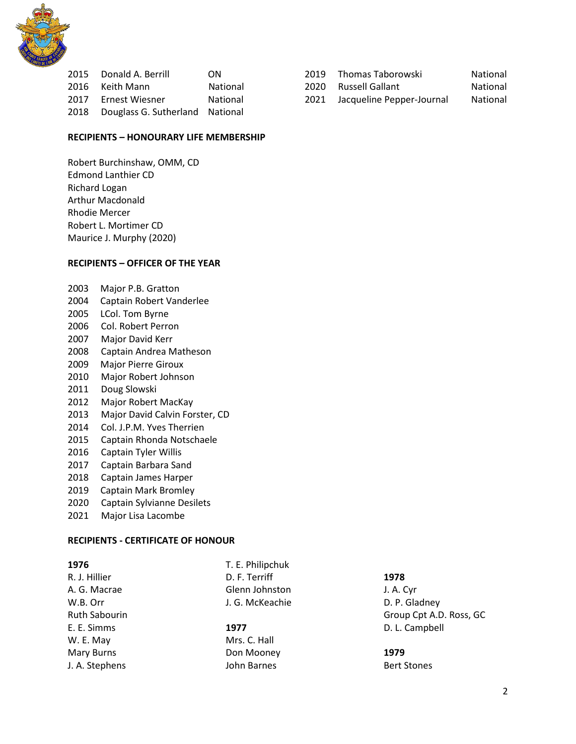

|      | 2015 Donald A. Berrill          | ON              |  |
|------|---------------------------------|-----------------|--|
| 2016 | Keith Mann                      | <b>National</b> |  |
| 2017 | Ernest Wiesner                  | National        |  |
| 2018 | Douglass G. Sutherland National |                 |  |
|      |                                 |                 |  |

#### **RECIPIENTS – HONOURARY LIFE MEMBERSHIP**

Robert Burchinshaw, OMM, CD Edmond Lanthier CD Richard Logan Arthur Macdonald Rhodie Mercer Robert L. Mortimer CD Maurice J. Murphy (2020)

#### **RECIPIENTS – OFFICER OF THE YEAR**

- 2003 Major P.B. Gratton
- 2004 Captain Robert Vanderlee
- 2005 LCol. Tom Byrne
- 2006 Col. Robert Perron
- 2007 Major David Kerr
- 2008 Captain Andrea Matheson
- 2009 Major Pierre Giroux
- 2010 Major Robert Johnson
- 2011 Doug Slowski
- 2012 Major Robert MacKay
- 2013 Major David Calvin Forster, CD
- 2014 Col. J.P.M. Yves Therrien
- 2015 Captain Rhonda Notschaele
- 2016 Captain Tyler Willis
- 2017 Captain Barbara Sand
- 2018 Captain James Harper
- 2019 Captain Mark Bromley
- 2020 Captain Sylvianne Desilets
- 2021 Major Lisa Lacombe

#### **RECIPIENTS ‐ CERTIFICATE OF HONOUR**

R. J. Hillier A. G. Macrae W.B. Orr Ruth Sabourin E. E. Simms W. E. May Mary Burns J. A. Stephens

T. E. Philipchuk D. F. Terriff Glenn Johnston J. G. McKeachie

**1977** Mrs. C. Hall Don Mooney John Barnes

**1978**

J. A. Cyr D. P. Gladney Group Cpt A.D. Ross, GC D. L. Campbell

**1979** Bert Stones

| 2019 - Thomas Taborowski                                                                                                                                                                                                       | National            |
|--------------------------------------------------------------------------------------------------------------------------------------------------------------------------------------------------------------------------------|---------------------|
| 2020 Russell Gallant                                                                                                                                                                                                           | National            |
| $2024$ $1.22$ $1.22$ $1.23$ $1.23$ $1.23$ $1.23$ $1.23$ $1.23$ $1.23$ $1.23$ $1.23$ $1.23$ $1.23$ $1.23$ $1.23$ $1.23$ $1.23$ $1.23$ $1.23$ $1.23$ $1.23$ $1.23$ $1.23$ $1.23$ $1.23$ $1.23$ $1.23$ $1.23$ $1.23$ $1.23$ $1.2$ | A 1 - 1 * - - - - 1 |

2021 Jacqueline Pepper-Journal National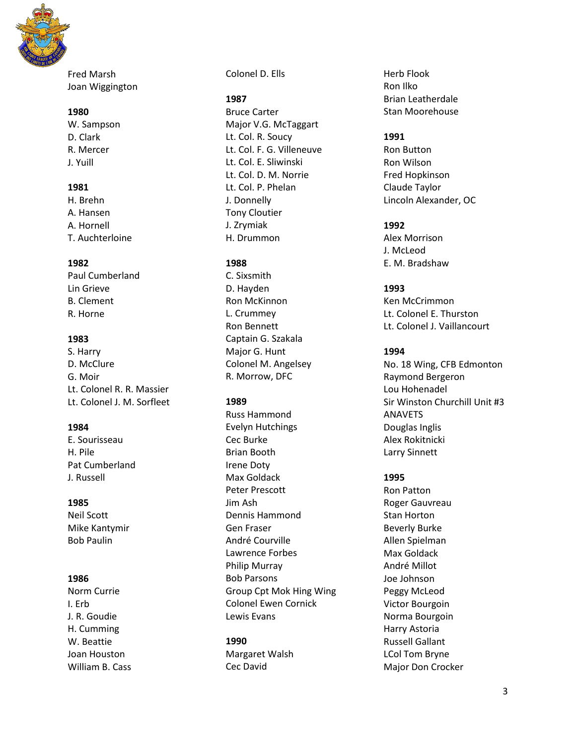

Fred Marsh Joan Wiggington

#### **1980**

W. Sampson D. Clark R. Mercer J. Yuill

## **1981**

H. Brehn A. Hansen A. Hornell T. Auchterloine

## **1982**

Paul Cumberland Lin Grieve B. Clement R. Horne

## **1983**

S. Harry D. McClure G. Moir Lt. Colonel R. R. Massier Lt. Colonel J. M. Sorfleet

## **1984**

E. Sourisseau H. Pile Pat Cumberland J. Russell

## **1985**

Neil Scott Mike Kantymir Bob Paulin

## **1986**

Norm Currie I. Erb J. R. Goudie H. Cumming W. Beattie Joan Houston William B. Cass Colonel D. Ells

## **1987**

Bruce Carter Major V.G. McTaggart Lt. Col. R. Soucy Lt. Col. F. G. Villeneuve Lt. Col. E. Sliwinski Lt. Col. D. M. Norrie Lt. Col. P. Phelan J. Donnelly Tony Cloutier J. Zrymiak H. Drummon

## **1988**

C. Sixsmith D. Hayden Ron McKinnon L. Crummey Ron Bennett Captain G. Szakala Major G. Hunt Colonel M. Angelsey R. Morrow, DFC

## **1989**

Russ Hammond Evelyn Hutchings Cec Burke Brian Booth Irene Doty Max Goldack Peter Prescott Jim Ash Dennis Hammond Gen Fraser André Courville Lawrence Forbes Philip Murray Bob Parsons Group Cpt Mok Hing Wing Colonel Ewen Cornick Lewis Evans

## **1990**

Margaret Walsh Cec David

Herb Flook Ron Ilko Brian Leatherdale Stan Moorehouse

## **1991**

Ron Button Ron Wilson Fred Hopkinson Claude Taylor Lincoln Alexander, OC

# **1992**

Alex Morrison J. McLeod E. M. Bradshaw

## **1993**

Ken McCrimmon Lt. Colonel E. Thurston Lt. Colonel J. Vaillancourt

## **1994**

No. 18 Wing, CFB Edmonton Raymond Bergeron Lou Hohenadel Sir Winston Churchill Unit #3 ANAVETS Douglas Inglis Alex Rokitnicki Larry Sinnett

## **1995**

Ron Patton Roger Gauvreau Stan Horton Beverly Burke Allen Spielman Max Goldack André Millot Joe Johnson Peggy McLeod Victor Bourgoin Norma Bourgoin Harry Astoria Russell Gallant LCol Tom Bryne Major Don Crocker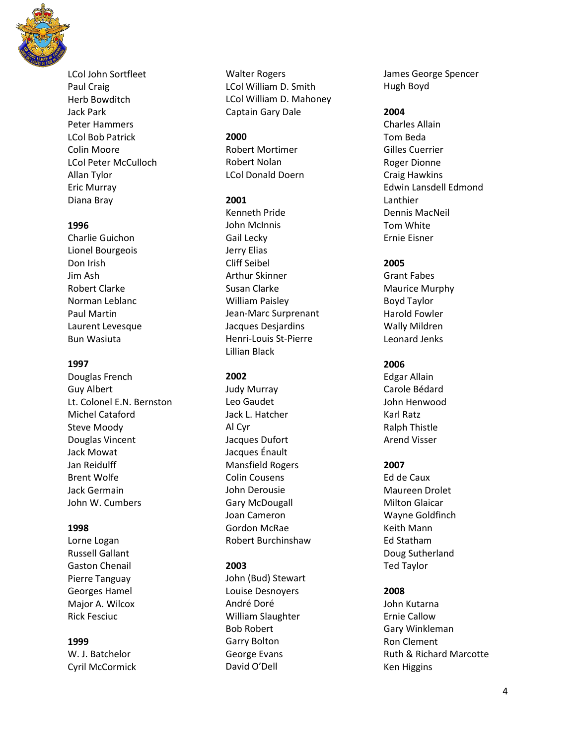

LCol John Sortfleet Paul Craig Herb Bowditch Jack Park Peter Hammers LCol Bob Patrick Colin Moore LCol Peter McCulloch Allan Tylor Eric Murray Diana Bray

#### **1996**

Charlie Guichon Lionel Bourgeois Don Irish Jim Ash Robert Clarke Norman Leblanc Paul Martin Laurent Levesque Bun Wasiuta

### **1997**

Douglas French Guy Albert Lt. Colonel E.N. Bernston Michel Cataford Steve Moody Douglas Vincent Jack Mowat Jan Reidulff Brent Wolfe Jack Germain John W. Cumbers

#### **1998**

Lorne Logan Russell Gallant Gaston Chenail Pierre Tanguay Georges Hamel Major A. Wilcox Rick Fesciuc

#### **1999**

W. J. Batchelor Cyril McCormick Walter Rogers LCol William D. Smith LCol William D. Mahoney Captain Gary Dale

#### **2000**

Robert Mortimer Robert Nolan LCol Donald Doern

### **2001**

Kenneth Pride John McInnis Gail Lecky Jerry Elias Cliff Seibel Arthur Skinner Susan Clarke William Paisley Jean-Marc Surprenant Jacques Desjardins Henri-Louis St-Pierre Lillian Black

### **2002**

Judy Murray Leo Gaudet Jack L. Hatcher Al Cyr Jacques Dufort Jacques Énault Mansfield Rogers Colin Cousens John Derousie Gary McDougall Joan Cameron Gordon McRae Robert Burchinshaw

## **2003**

John (Bud) Stewart Louise Desnoyers André Doré William Slaughter Bob Robert Garry Bolton George Evans David O'Dell

James George Spencer Hugh Boyd

#### **2004**

Charles Allain Tom Beda Gilles Cuerrier Roger Dionne Craig Hawkins Edwin Lansdell Edmond Lanthier Dennis MacNeil Tom White Ernie Eisner

## **2005**

Grant Fabes Maurice Murphy Boyd Taylor Harold Fowler Wally Mildren Leonard Jenks

### **2006**

Edgar Allain Carole Bédard John Henwood Karl Ratz Ralph Thistle Arend Visser

### **2007**

Ed de Caux Maureen Drolet Milton Glaicar Wayne Goldfinch Keith Mann Ed Statham Doug Sutherland Ted Taylor

### **2008**

John Kutarna Ernie Callow Gary Winkleman Ron Clement Ruth & Richard Marcotte Ken Higgins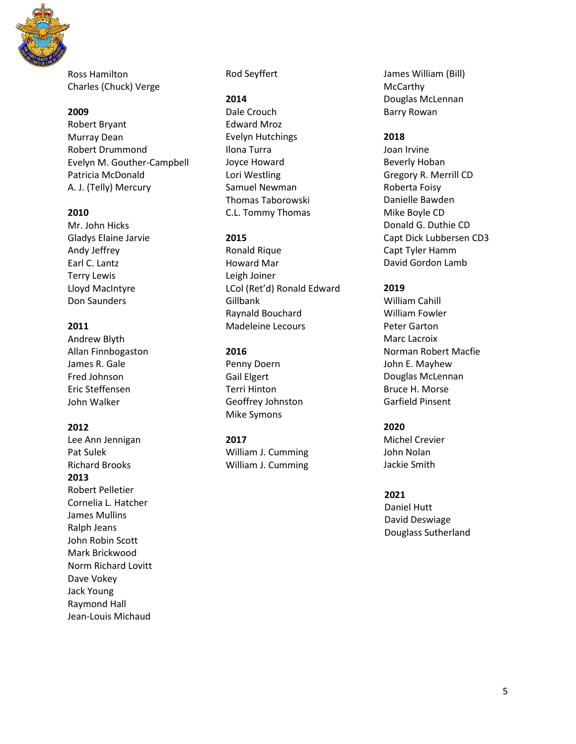

Ross Hamilton Charles (Chuck) Verge

#### **2009**

Robert Bryant Murray Dean Robert Drummond Evelyn M. Gouther-Campbell Patricia McDonald A. J. (Telly) Mercury

#### **2010**

Mr. John Hicks Gladys Elaine Jarvie Andy Jeffrey Earl C. Lantz Terry Lewis Lloyd MacIntyre Don Saunders

## **2011**

Andrew Blyth Allan Finnbogaston James R. Gale Fred Johnson Eric Steffensen John Walker

#### **2012**

Lee Ann Jennigan Pat Sulek Richard Brooks **2013** Robert Pelletier Cornelia L. Hatcher James Mullins Ralph Jeans John Robin Scott Mark Brickwood Norm Richard Lovitt Dave Vokey Jack Young Raymond Hall Jean-Louis Michaud

Rod Seyffert

#### **2014**

Dale Crouch Edward Mroz Evelyn Hutchings Ilona Turra Joyce Howard Lori Westling Samuel Newman Thomas Taborowski C.L. Tommy Thomas

#### **2015**

Ronald Rique Howard Mar Leigh Joiner LCol (Ret'd) Ronald Edward **Gillbank** Raynald Bouchard Madeleine Lecours

#### **2016**

Penny Doern Gail Elgert Terri Hinton Geoffrey Johnston Mike Symons

#### **2017**

William J. Cumming William J. Cumming James William (Bill) McCarthy Douglas McLennan Barry Rowan

#### **2018**

Joan Irvine Beverly Hoban Gregory R. Merrill CD Roberta Foisy Danielle Bawden Mike Boyle CD Donald G. Duthie CD Capt Dick Lubbersen CD3 Capt Tyler Hamm David Gordon Lamb

#### **2019**

William Cahill William Fowler Peter Garton Marc Lacroix Norman Robert Macfie John E. Mayhew Douglas McLennan Bruce H. Morse Garfield Pinsent

#### **2020**

Michel Crevier John Nolan Jackie Smith

#### **2021**

Daniel Hutt David Deswiage Douglass Sutherland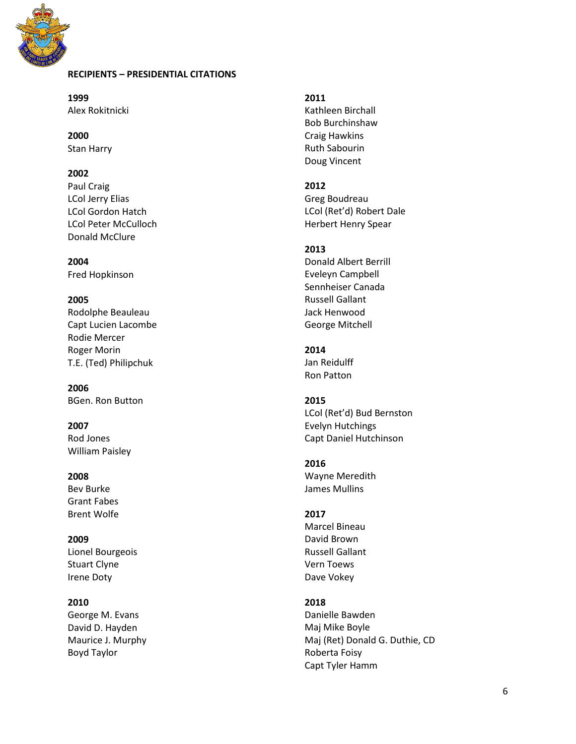

## **RECIPIENTS – PRESIDENTIAL CITATIONS**

**1999** Alex Rokitnicki

**2000** Stan Harry

## **2002**

Paul Craig LCol Jerry Elias LCol Gordon Hatch LCol Peter McCulloch Donald McClure

**2004** Fred Hopkinson

## **2005**

Rodolphe Beauleau Capt Lucien Lacombe Rodie Mercer Roger Morin T.E. (Ted) Philipchuk

**2006** BGen. Ron Button

**2007** Rod Jones William Paisley

## **2008**

Bev Burke Grant Fabes Brent Wolfe

**2009** Lionel Bourgeois Stuart Clyne Irene Doty

### **2010**

George M. Evans David D. Hayden Maurice J. Murphy Boyd Taylor

#### **2011**

Kathleen Birchall Bob Burchinshaw Craig Hawkins Ruth Sabourin Doug Vincent

**2012**

Greg Boudreau LCol (Ret'd) Robert Dale Herbert Henry Spear

### **2013**

Donald Albert Berrill Eveleyn Campbell Sennheiser Canada Russell Gallant Jack Henwood George Mitchell

## **2014**

Jan Reidulff Ron Patton

### **2015**

LCol (Ret'd) Bud Bernston Evelyn Hutchings Capt Daniel Hutchinson

#### **2016**

Wayne Meredith James Mullins

### **2017**

Marcel Bineau David Brown Russell Gallant Vern Toews Dave Vokey

## **2018**

Danielle Bawden Maj Mike Boyle Maj (Ret) Donald G. Duthie, CD Roberta Foisy Capt Tyler Hamm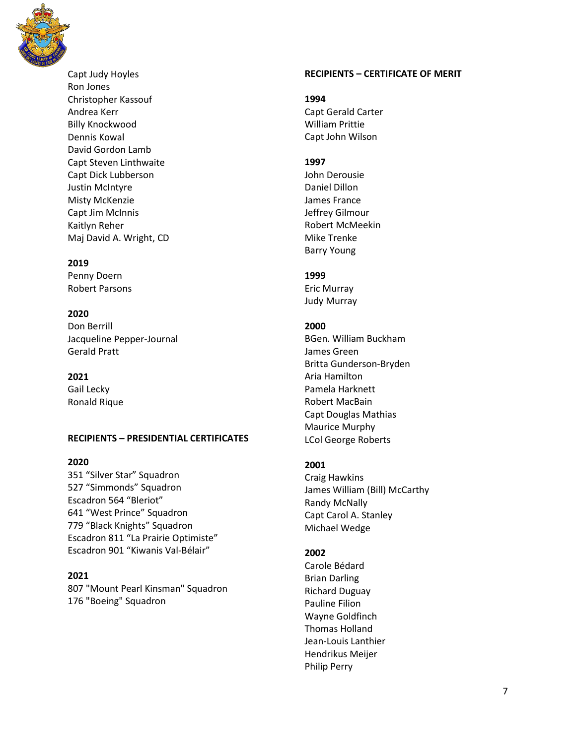

Capt Judy Hoyles Ron Jones Christopher Kassouf Andrea Kerr Billy Knockwood Dennis Kowal David Gordon Lamb Capt Steven Linthwaite Capt Dick Lubberson Justin McIntyre Misty McKenzie Capt Jim McInnis Kaitlyn Reher Maj David A. Wright, CD

#### **2019**

Penny Doern Robert Parsons

### **2020**

Don Berrill Jacqueline Pepper-Journal Gerald Pratt

## **2021**

Gail Lecky Ronald Rique

## **RECIPIENTS – PRESIDENTIAL CERTIFICATES**

### **2020**

351 "Silver Star" Squadron 527 "Simmonds" Squadron Escadron 564 "Bleriot" 641 "West Prince" Squadron 779 "Black Knights" Squadron Escadron 811 "La Prairie Optimiste" Escadron 901 "Kiwanis Val-Bélair"

## **2021**

807 "Mount Pearl Kinsman" Squadron 176 "Boeing" Squadron

### **RECIPIENTS – CERTIFICATE OF MERIT**

#### **1994**

Capt Gerald Carter William Prittie Capt John Wilson

### **1997**

John Derousie Daniel Dillon James France Jeffrey Gilmour Robert McMeekin Mike Trenke Barry Young

### **1999**

Eric Murray Judy Murray

## **2000**

BGen. William Buckham James Green Britta Gunderson-Bryden Aria Hamilton Pamela Harknett Robert MacBain Capt Douglas Mathias Maurice Murphy LCol George Roberts

## **2001**

Craig Hawkins James William (Bill) McCarthy Randy McNally Capt Carol A. Stanley Michael Wedge

## **2002**

Carole Bédard Brian Darling Richard Duguay Pauline Filion Wayne Goldfinch Thomas Holland Jean-Louis Lanthier Hendrikus Meijer Philip Perry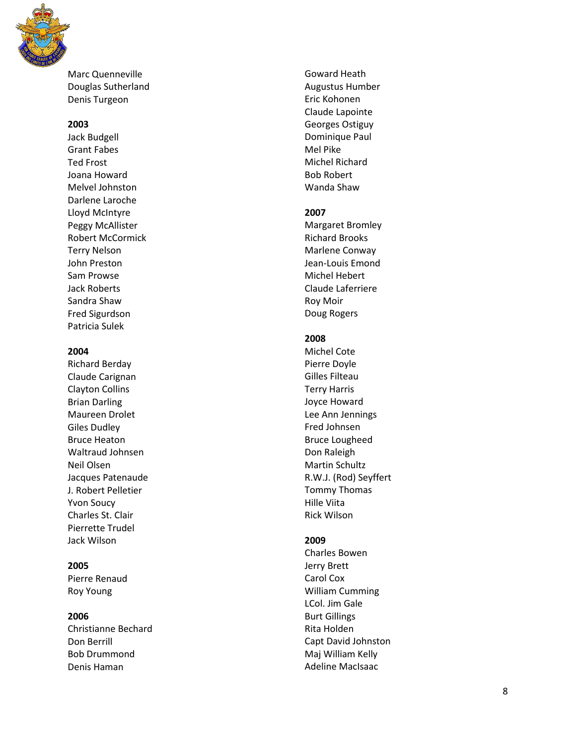

Marc Quenneville Douglas Sutherland Denis Turgeon

#### **2003**

Jack Budgell Grant Fabes Ted Frost Joana Howard Melvel Johnston Darlene Laroche Lloyd McIntyre Peggy McAllister Robert McCormick Terry Nelson John Preston Sam Prowse Jack Roberts Sandra Shaw Fred Sigurdson Patricia Sulek

### **2004**

Richard Berday Claude Carignan Clayton Collins Brian Darling Maureen Drolet Giles Dudley Bruce Heaton Waltraud Johnsen Neil Olsen Jacques Patenaude J. Robert Pelletier Yvon Soucy Charles St. Clair Pierrette Trudel Jack Wilson

## **2005**

Pierre Renaud Roy Young

## **2006**

Christian ne Bechard Don Berrill Bob Drummond Denis Haman

Goward Heath Augustus Humber Eric Kohonen Claude Lapointe Georges Ostiguy Dominique Paul Mel Pike Michel Richard Bob Robert Wanda Shaw

### **2007**

Margaret Bromley Richard Brooks Marlene Conway Jean -Louis Emond Michel Hebert Claude Laferriere Roy Moir Doug Rogers

### **2008**

Michel Cote Pierre Doyle Gilles Filteau Terry Harris Joyce Howard Lee Ann Jennings Fred Johnsen Bruce Lougheed Don Raleigh Martin Schultz R.W.J. (Rod) Seyffert Tommy Thomas Hille Viita Rick Wilson

### **2009**

Charles Bowen Jerry Brett Carol Cox William Cumming LCol. Jim Gale Burt Gillings Rita Holden Capt David Johnston Maj William Kelly Adeline MacIsaac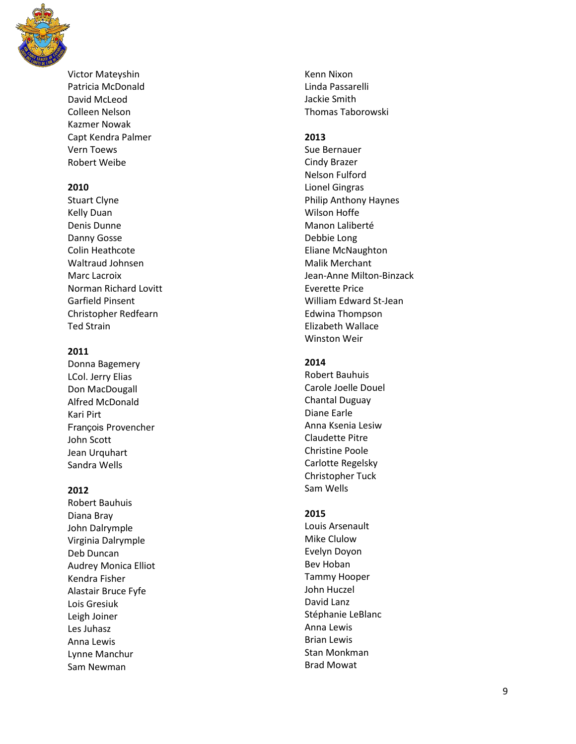

Victor Mateyshin Patricia McDonald David McLeod Colleen Nelson Kazmer Nowak Capt Kendra Palmer Vern Toews Robert Weibe

## **2010**

Stuart Clyne Kelly Duan Denis Dunne Danny Gosse Colin Heathcote Waltraud Johnsen Marc Lacroix Norman Richard Lovitt Garfield Pinsent Christopher Redfearn Ted Strain

## **2011**

Donna Bagemer y LCol. Jerry Elias Don MacDougall Alfred McDonald Kari Pirt François Provencher John Scott Jean Urquhart Sandra Wells

## **2012**

Robert Bauhuis Diana Bray John Dalrymple Virginia Dalrymple Deb Duncan Audrey Monica Elliot Kendra Fisher Alastair Bruce Fyfe Lois Gresiuk Leigh Joiner Les Juhasz Anna Lewis Lynne Manchur Sam Newman

Kenn Nixon Linda Passarelli Jackie Smith Thomas Taborowski

## **2013**

Sue Bernauer Cindy Brazer Nelson Fulford Lionel Gingras Philip Anthony Haynes Wilson Hoffe Manon Laliberté Debbie Long Eliane McNaughton Malik Merchant Jean -Anne Milton -Binzack Everette Price William Edward St -Jean Edwina Thompson Elizabeth Wallace Winston Weir

## **2014**

Robert Bauhuis Carole Joelle Douel Chantal Duguay Diane Earle Anna Ksenia Lesiw Claudette Pitre Christine Poole Carlotte Regelsky Christopher Tuck Sam Wells

## **2015**

Louis Arsenault Mike Clulow Evelyn Doyon Bev Hoban Tammy Hooper John Huczel David Lanz Stéphanie LeBlanc Anna Lewis Brian Lewis Stan Monkman Brad Mowat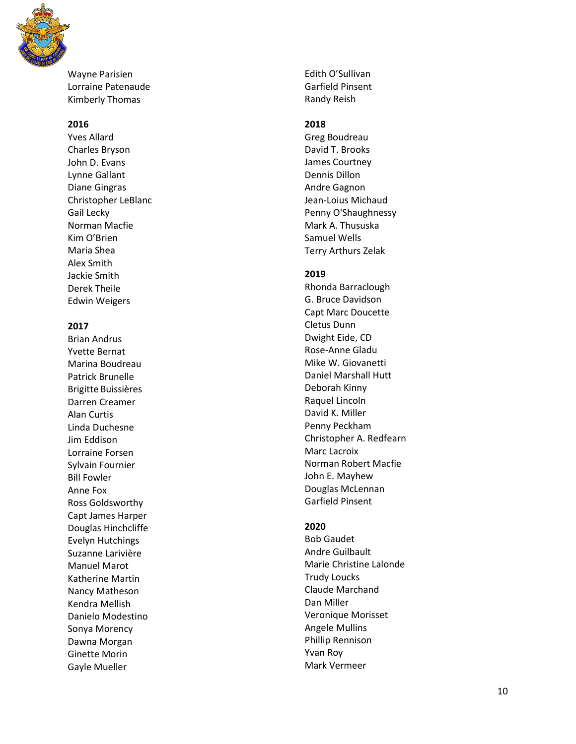

Wayne Parisien Lorraine Patenaude Kimberly Thomas

### **2016**

Yves Allard Charles Bryson John D. Evans Lynne Gallant Diane Gingras Christopher LeBlanc Gail Lecky Norman Macfie Kim O'Brien Maria Shea Alex Smith Jackie Smith Derek Theile Edwin Weigers

## **2017**

Brian Andrus Yvette Bernat Marina Boudreau Patrick Brunelle Brigitte Buissières Darren Creamer Alan Curtis Linda Duchesne Jim Eddison Lorraine Forsen Sylvain Fournier Bill Fowler Anne Fox Ross Goldsworthy Capt James Harper Douglas Hinchcliffe Evelyn Hutchings Suzanne Larivière Manuel Marot Katherine Martin Nancy Matheson Kendra Mellish Danielo Modestino Sonya Morency Dawna Morgan Ginette Morin Gayle Mueller

Edith O'Sullivan Garfield Pinsent Randy Reish

### **2018**

Greg Boudreau David T. Brooks James Courtney Dennis Dillon Andre Gagnon Jean -Loius Michaud Penny O'Shaughnessy Mark A. Thususka Samuel Wells Terry Arthurs Zelak

#### **2019**

Rhonda Barraclough G. Bruce Davidson Capt Marc Doucette Cletus Dunn Dwight Eide, CD Rose -Anne Gladu Mike W. Giovanetti Daniel Marshall Hutt Deborah Kinny Raquel Lincoln David K. Miller Penny Peckham Christopher A. Redfearn Marc Lacroix Norman Robert Macfie John E. Mayhew Douglas McLennan Garfield Pinsent

### **2020**

Bob Gaudet Andre Guilbault Marie Christine Lalonde Trudy Loucks Claude Marchand Dan Miller Veronique Morisset Angele Mullins Phillip Rennison Yvan Roy Mark Vermeer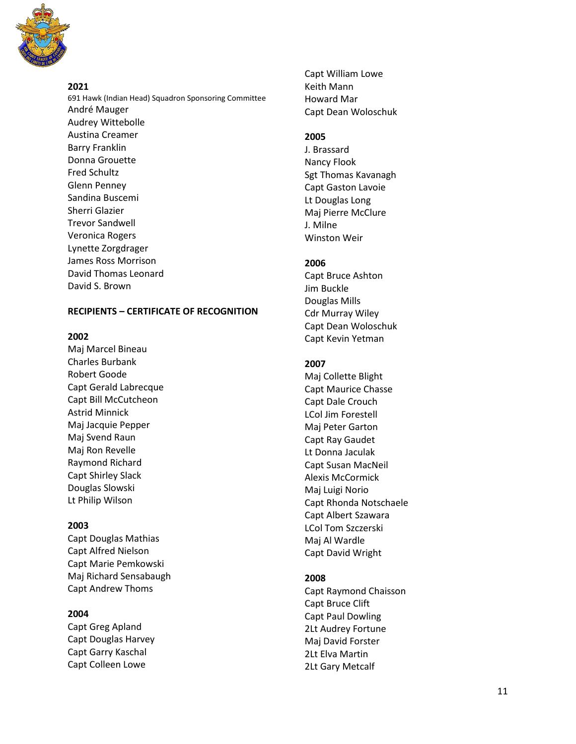

## **2021**

691 Hawk (Indian Head) Squadron Sponsoring Committee André Mauger Audrey Wittebolle Austina Creamer Barry Franklin Donna Grouette Fred Schultz Glenn Penney Sandina Buscemi Sherri Glazier Trevor Sandwell Veronica Rogers Lynette Zorgdrager James Ross Morrison David Thomas Leonard David S. Brown

## **RECIPIENTS – CERTIFICATE OF RECOGNITION**

#### **2002**

Maj Marcel Bineau Charles Burbank Robert Goode Capt Gerald Labrecque Capt Bill McCutcheon Astrid Minnick Maj Jacquie Pepper Maj Svend Raun Maj Ron Revelle Raymond Richard Capt Shirley Slack Douglas Slowski Lt Philip Wilson

### **2003**

Capt Douglas Mathias Capt Alfred Nielson Capt Marie Pemkowski Maj Richard Sensabaugh Capt Andrew Thoms

### **2004**

Capt Greg Apland Capt Douglas Harvey Capt Garry Kaschal Capt Colleen Lowe

Capt William Lowe Keith Mann Howard Mar Capt Dean Woloschuk

## **2005**

J. Brassard Nancy Flook Sgt Thomas Kavanagh Capt Gaston Lavoie Lt Douglas Long Maj Pierre McClure J. Milne Winston Weir

## **2006**

Capt Bruce Ashton Jim Buckle Douglas Mills Cdr Murray Wiley Capt Dean Woloschuk Capt Kevin Yetman

### **2007**

Maj Collette Blight Capt Maurice Chasse Capt Dale Crouch LCol Jim Forestell Maj Peter Garton Capt Ray Gaudet Lt Donna Jaculak Capt Susan MacNeil Alexis McCormick Maj Luigi Norio Capt Rhonda Notschaele Capt Albert Szawara LCol Tom Szczerski Maj Al Wardle Capt David Wright

## **2008**

Capt Raymond Chaisson Capt Bruce Clift Capt Paul Dowling 2Lt Audrey Fortune Maj David Forster 2Lt Elva Martin 2Lt Gary Metcalf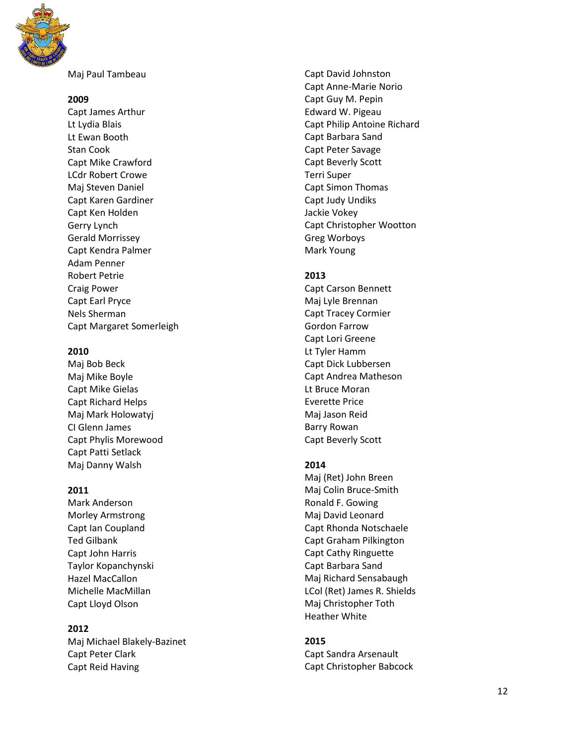

Maj Paul Tambeau

#### **2009**

Capt James Arthur Lt Lydia Blais Lt Ewan Booth Stan Cook Capt Mike Crawford LCdr Robert Crowe Maj Steven Daniel Capt Karen Gardiner Capt Ken Holden Gerry Lynch Gerald Morrissey Capt Kendra Palmer Adam Penner Robert Petrie Craig Power Capt Earl Pryce Nels Sherman Capt Margaret Somerleigh

### **2010**

Maj Bob Beck Maj Mike Boyle Capt Mike Gielas Capt Richard Helps Maj Mark Holowatyj CI Glenn James Capt Phylis Morewood Capt Patti Setlack Maj Danny Walsh

### **2011**

Mark Anderson Morley Armstrong Capt Ian Coupland Ted Gilbank Capt John Harris Taylor Kopanchynski Hazel MacCallon Michelle MacMillan Capt Lloyd Olson

## **2012**

Maj Michael Blakely -Bazinet Capt Peter Clark Capt Reid Having

Capt David Johnston Capt Anne -Marie Norio Capt Guy M. Pepin Edward W. Pigeau Capt Philip Antoine Richard Capt Barbara Sand Capt Peter Savage Capt Beverly Scott Terri Super Capt Simon Thomas Capt Judy Undiks Jackie Vokey Capt Christopher Wootton Greg Worboys Mark Young

## **2013**

Capt Carson Bennett Maj Lyle Brennan Capt Tracey Cormier Gordon Farrow Capt Lori Greene Lt Tyler Hamm Capt Dick Lubbersen Capt Andrea Matheson Lt Bruce Moran Everette Price Maj Jason Reid Barry Rowan Capt Beverly Scott

## **2014**

Maj (Ret) John Breen Maj Colin Bruce -Smith Ronald F. Gowing Maj David Leonard Capt Rhonda Notschaele Capt Graham Pilkington Capt Cathy Ringuette Capt Barbara Sand Maj Richard Sensabaugh LCol (Ret) James R. Shields Maj Christopher Toth Heather White

## **2015**

Capt Sandra Arsenault Capt Christopher Babcock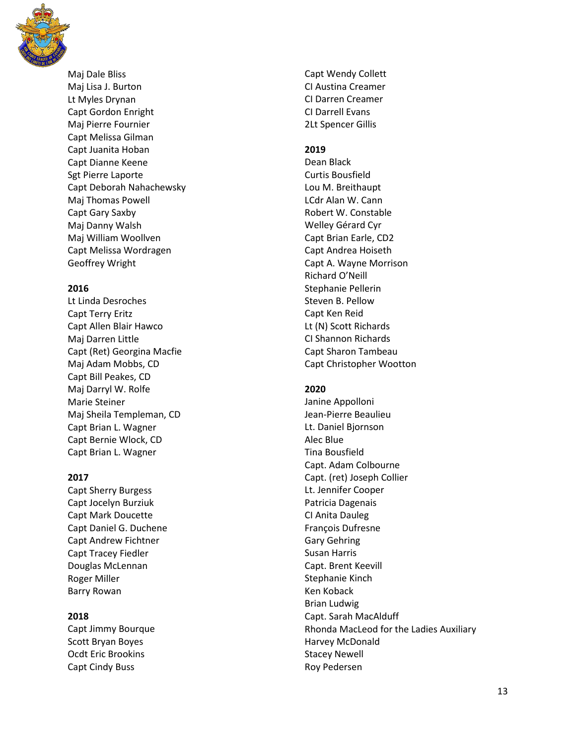

Maj Dale Bliss Maj Lis a J. Burton Lt M yles Drynan Capt Gordon Enright Maj Pierre Fournier Capt Melissa Gilman Capt Juanita Hoban Capt Dianne Keene Sgt Pierre Laporte Capt Deborah Nahachewsky Maj Thomas Powell Capt Gary Saxby Maj Danny Walsh Maj William Woollven Capt Melissa Wordragen Geoffrey Wright

#### **2016**

Lt Linda Desr oches Capt Terry Eritz Capt Allen Blair Hawco Maj Darren Little Capt (Ret) Georgina Macfie Maj Adam Mobbs, CD Capt Bill Peakes, CD Maj Darryl W. Rolfe Marie Steiner Maj Sheila Templeman, CD Capt Brian L. Wagner Capt Bernie Wlock, CD Capt Brian L. Wagner

### **201 7**

Capt Sherry Burgess Capt Jocelyn Burziuk Capt Mark Doucette Capt Daniel G. Duchene Capt Andrew Fichtner Capt Tracey Fiedler Douglas McLennan Roger Miller Barry Rowan

### **201 8**

Capt Jimmy Bourque Scott Bryan Boyes Ocdt Eric Brookins Capt Cindy Buss

Capt Wendy Collett CI Austina Creamer CI Darren Creamer CI Darrell Evans 2Lt Spence r Gillis

#### **201 9**

Dean Black Curtis Bousfield Lou M. Breithaupt LCdr Alan W. Cann Robert W. Constable Welley G érard Cyr Capt Brian Earle, CD2 Capt Andrea Hoiseth Capt A. Wayne Morrison Richard O'Neill Stephanie Pellerin Steven B. Pellow Capt Ken Reid Lt (N) Scott Richards CI Shannon Richards Capt Sharon Tambeau Capt Christopher Wootton

### **2020**

Janine Appolloni Jean -Pierre Beaulieu Lt. Daniel Bjornson Alec Blue Tina Bousfield Capt. Adam Colbourne Capt. (ret) Joseph Collier Lt. Jennifer Cooper Patricia Dagenais CI Anita Dauleg François Dufresne Gary Gehring Susan Harris Capt. Brent Keevill Stephanie Kinch Ken Koback Brian Ludwig Capt. Sarah MacAlduff Rhonda MacLeod for the Ladies Auxiliary Harvey McDonald Stacey Newell Roy Pedersen